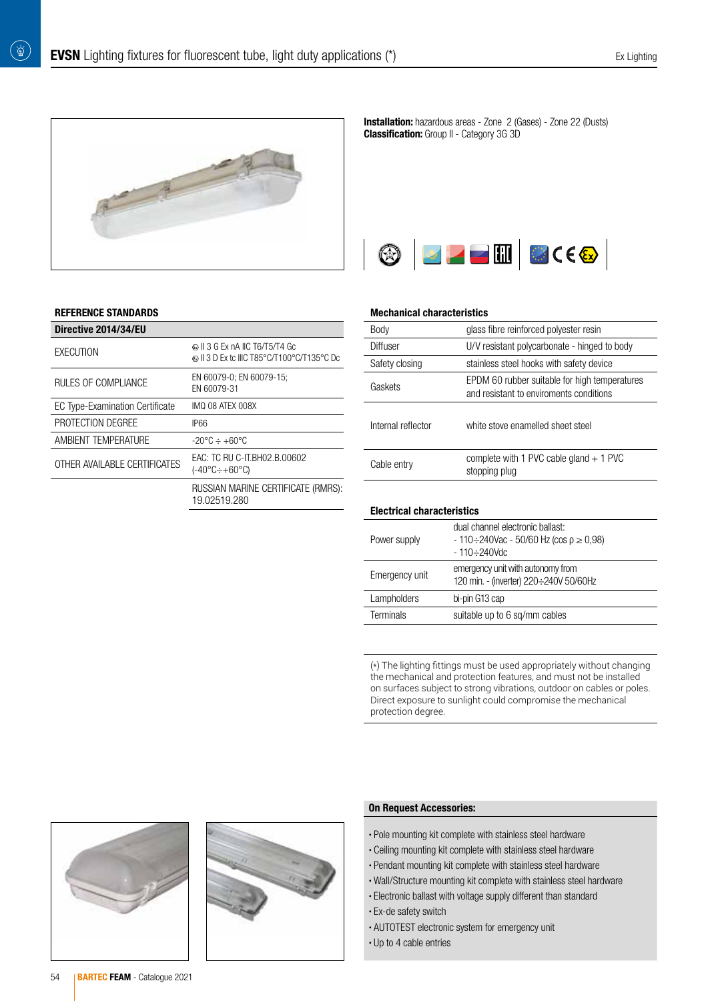

### REFERENCE STANDARDS

 $\left(\begin{smallmatrix}\Delta^{\prime}\\ \Delta\end{smallmatrix}\right)$ 

| Directive 2014/34/EU                   |                                                                              |
|----------------------------------------|------------------------------------------------------------------------------|
| EXECUTION                              | © II 3 G Ex nA IIC T6/T5/T4 Gc<br>© II 3 D Ex tc IIIC T85°C/T100°C/T135°C Dc |
| RULES OF COMPLIANCE                    | EN 60079-0; EN 60079-15;<br>EN 60079-31                                      |
| <b>EC Type-Examination Certificate</b> | IMO 08 ATEX 008X                                                             |
| PROTECTION DEGREE                      | IP66                                                                         |
| AMBIENT TEMPERATURE                    | $-20^{\circ}$ C $\div$ +60 $^{\circ}$ C                                      |
| OTHER AVAILABLE CERTIFICATES           | EAC: TC RU C-IT.BH02.B.00602<br>$(-40^{\circ}C \div +60^{\circ}C)$           |
|                                        | RUSSIAN MARINE CERTIFICATE (RMRS):<br>19.02519.280                           |

Installation: hazardous areas - Zone 2 (Gases) - Zone 22 (Dusts) **Classification:** Group II - Category 3G 3D



#### Mechanical characteristics

| Body               | glass fibre reinforced polyester resin                                                   |
|--------------------|------------------------------------------------------------------------------------------|
| Diffuser           | U/V resistant polycarbonate - hinged to body                                             |
| Safety closing     | stainless steel hooks with safety device                                                 |
| Gaskets            | EPDM 60 rubber suitable for high temperatures<br>and resistant to enviroments conditions |
| Internal reflector | white stove enamelled sheet steel                                                        |
| Cable entry        | complete with 1 PVC cable gland $+$ 1 PVC<br>stopping plug                               |
|                    |                                                                                          |

#### Electrical characteristics

| Power supply     | dual channel electronic ballast:<br>$-110 \div 240$ Vac - 50/60 Hz (cos $\rho \ge 0.98$ )<br>$-110 \div 240$ Vdc |
|------------------|------------------------------------------------------------------------------------------------------------------|
| Emergency unit   | emergency unit with autonomy from<br>120 min. - (inverter) 220÷240V 50/60Hz                                      |
| Lampholders      | bi-pin G13 cap                                                                                                   |
| <b>Terminals</b> | suitable up to 6 sq/mm cables                                                                                    |

(\*) The lighting fittings must be used appropriately without changing the mechanical and protection features, and must not be installed on surfaces subject to strong vibrations, outdoor on cables or poles. Direct exposure to sunlight could compromise the mechanical protection degree.





## On Request Accessories:

- Pole mounting kit complete with stainless steel hardware
- Ceiling mounting kit complete with stainless steel hardware
- Pendant mounting kit complete with stainless steel hardware
- Wall/Structure mounting kit complete with stainless steel hardware
- Electronic ballast with voltage supply different than standard
- Ex-de safety switch
- AUTOTEST electronic system for emergency unit
- Up to 4 cable entries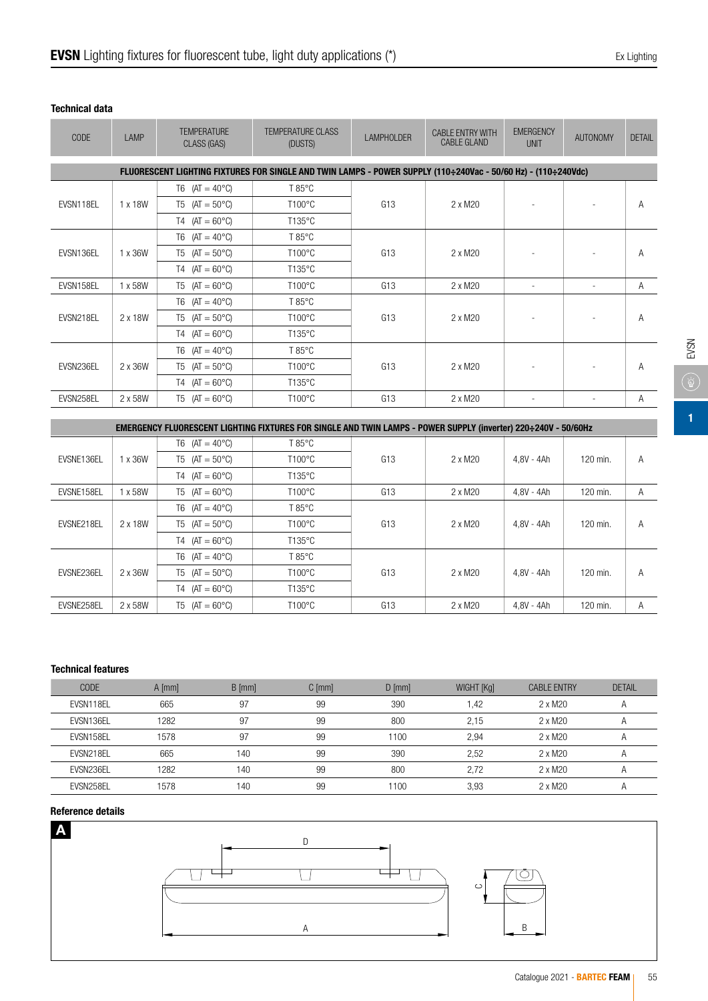T6  $(AT = 40^{\circ}C)$  T 85 °C

T4  $(AT = 60^{\circ}C)$  T135°C

T6  $(AT = 40^{\circ}C)$  T 85°C

T4  $(AT = 60^{\circ}C)$  T135<sup>°</sup>C

T6  $(AT = 40^{\circ}C)$  T 85 °C

T4  $(AT = 60^{\circ}C)$  T135°C

FLUORESCENT LIGHTING FIXTU

| <b>TEMPERATURE</b><br>CLASS (GAS) | <b>TEMPERATURE CLASS</b><br>(DUSTS)                                                               | <b>LAMPHOLDER</b> | <b>CABLE ENTRY WITH</b><br><b>CABLE GLAND</b> | <b>EMERGENCY</b><br>UNIT | <b>AUTONOMY</b> | <b>DETAIL</b> |
|-----------------------------------|---------------------------------------------------------------------------------------------------|-------------------|-----------------------------------------------|--------------------------|-----------------|---------------|
|                                   | LIGHTING FIXTURES FOR SINGLE AND TWIN LAMPS - POWER SUPPLY (110÷240Vac - 50/60 Hz) - (110÷240Vdc) |                   |                                               |                          |                 |               |
| T6 $(AT = 40^{\circ}C)$           | T 85°C                                                                                            |                   |                                               |                          |                 |               |
| $T5$ (AT = 50°C)                  | $T100^{\circ}$ C                                                                                  | G <sub>13</sub>   | 2 x M20                                       | ۰                        |                 | Α             |
| $(AT = 60^{\circ}C)$<br>T4        | T135°C                                                                                            |                   |                                               |                          |                 |               |

T5 (AT = 50°C) T100°C (G13 | 2 x M20 - | - | A

T5 (AT = 50°C) T100°C (G13 | 2 x M20 - | - | A

T5 (AT = 50°C) T100°C (G13 2 x M20 - C - A

#### Technical data

EVSN118EL 1 x 18W

EVSN136EL 1 x 36W

EVSN218EL 2 x 18W

EVSN236EL 2 x 36W

CODE LAMP TEMPERATURE

| EMERGENCY FLUORESCENT LIGHTING FIXTURES FOR SINGLE AND TWIN LAMPS - POWER SUPPLY (inverter) 220÷240V - 50/60Hz |                         |                              |                 |                 |         |            |          |   |
|----------------------------------------------------------------------------------------------------------------|-------------------------|------------------------------|-----------------|-----------------|---------|------------|----------|---|
|                                                                                                                | T6 $(AT = 40^{\circ}C)$ | $T85^{\circ}$ C              |                 |                 |         |            |          |   |
| EVSNE136EL                                                                                                     | 1 x 36W                 | $T5$ (AT = 50°C)             | $T100^{\circ}C$ | G <sub>13</sub> | 2 x M20 | 4.8V - 4Ah | 120 min. | A |
|                                                                                                                |                         | $T4$ (AT = 60°C)             | $T135^{\circ}C$ |                 |         |            |          |   |
| EVSNE158EL                                                                                                     | 1 x 58W                 | $T5$ (AT = 60°C)             | $T100^{\circ}C$ | G <sub>13</sub> | 2 x M20 | 4.8V - 4Ah | 120 min. | A |
|                                                                                                                |                         | $T6$ (AT = 40°C)             | $T85^{\circ}$ C | G <sub>13</sub> | 2 x M20 | 4.8V - 4Ah | 120 min. | Α |
| EVSNE218EL                                                                                                     | 2 x 18W                 | $(AT = 50^{\circ}C)$<br>T5 I | $T100^{\circ}C$ |                 |         |            |          |   |
|                                                                                                                |                         | $(AT = 60^{\circ}C)$<br>Τ4   | $T135^{\circ}C$ |                 |         |            |          |   |
|                                                                                                                |                         | T6 $(AT = 40^{\circ}C)$      | $T85^{\circ}$ C |                 |         | 4.8V - 4Ah | 120 min. | Α |
| EVSNE236EL                                                                                                     | 2 x 36W                 | $T5$ (AT = 50°C)             | $T100^{\circ}C$ | G <sub>13</sub> | 2 x M20 |            |          |   |
|                                                                                                                |                         | $T4$ (AT = 60°C)             | $T135^{\circ}C$ |                 |         |            |          |   |
| EVSNE258EL                                                                                                     | 2 x 58W                 | $(AT = 60^{\circ}C)$<br>T5 I | T100°C          | G13             | 2 x M20 | 4.8V - 4Ah | 120 min. | Α |

EVSN158EL | 1 x 58W | T5 (AT = 60°C) | T100°C | G13 | 2 x M20 | - | - | A

EVSN258EL 2 x 58W T5 (AT = 60°C) T100°C G13 2 x M20 - A

## Technical features

| <b>CODE</b> | $A$ [mm] | $B$ [mm] | $C$ [mm] | $D$ [mm] | WIGHT [Kg] | <b>CABLE ENTRY</b> | <b>DETAIL</b> |
|-------------|----------|----------|----------|----------|------------|--------------------|---------------|
| EVSN118EL   | 665      | 97       | 99       | 390      | .42        | 2 x M20            |               |
| EVSN136EL   | 1282     | 97       | 99       | 800      | 2.15       | 2 x M20            |               |
| EVSN158EL   | 1578     | 97       | 99       | 1100     | 2.94       | 2 x M20            |               |
| EVSN218EL   | 665      | 140      | 99       | 390      | 2.52       | 2 x M20            |               |
| EVSN236EL   | 1282     | 140      | 99       | 800      | 2.72       | 2 x M20            |               |
| EVSN258EL   | 1578     | 140      | 99       | 1100     | 3,93       | 2 x M20            |               |

## Reference details

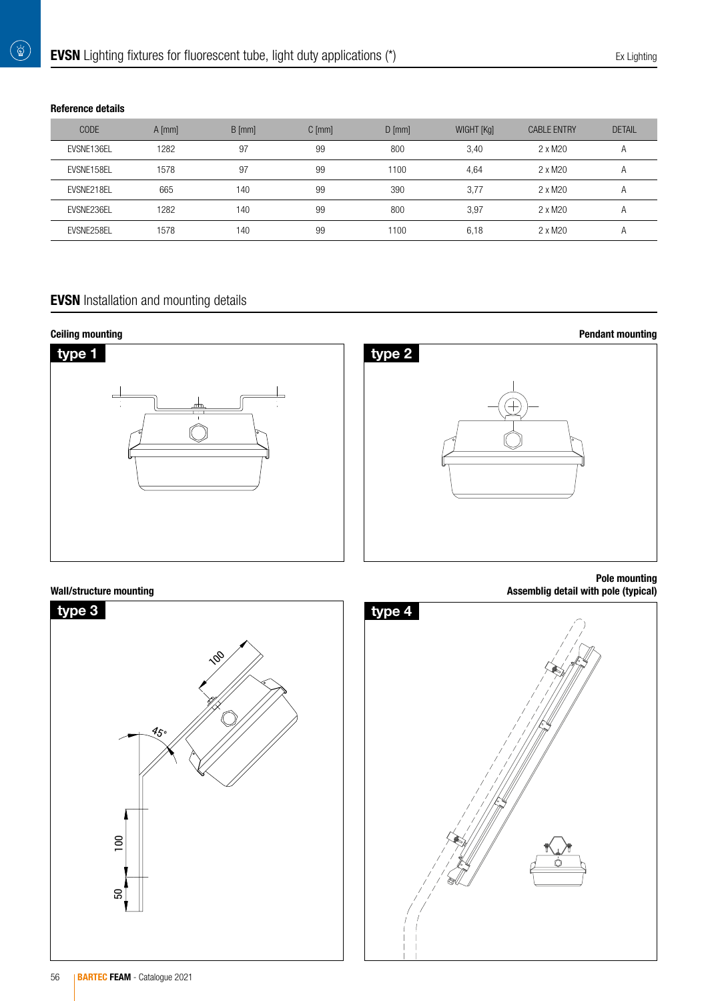# Reference details

 $\begin{pmatrix} \overleftrightarrow{\mathbf{Q}} \end{pmatrix}$ 

| <b>CODE</b> | $A$ [mm] | $B$ [mm] | $C$ [mm] | $D$ [mm] | WIGHT [Kg] | <b>CABLE ENTRY</b> | <b>DETAIL</b>  |
|-------------|----------|----------|----------|----------|------------|--------------------|----------------|
| EVSNE136EL  | 1282     | 97       | 99       | 800      | 3,40       | 2 x M20            | Α              |
| EVSNE158EL  | 1578     | 97       | 99       | 1100     | 4,64       | 2 x M20            | $\overline{A}$ |
| EVSNE218EL  | 665      | 140      | 99       | 390      | 3.77       | 2 x M20            | A              |
| EVSNE236EL  | 1282     | 140      | 99       | 800      | 3.97       | 2 x M20            | A              |
| EVSNE258EL  | 1578     | 140      | 99       | 1100     | 6,18       | 2 x M20            | A              |

# **EVSN** Installation and mounting details



## Wall/structure mounting





Pole mounting